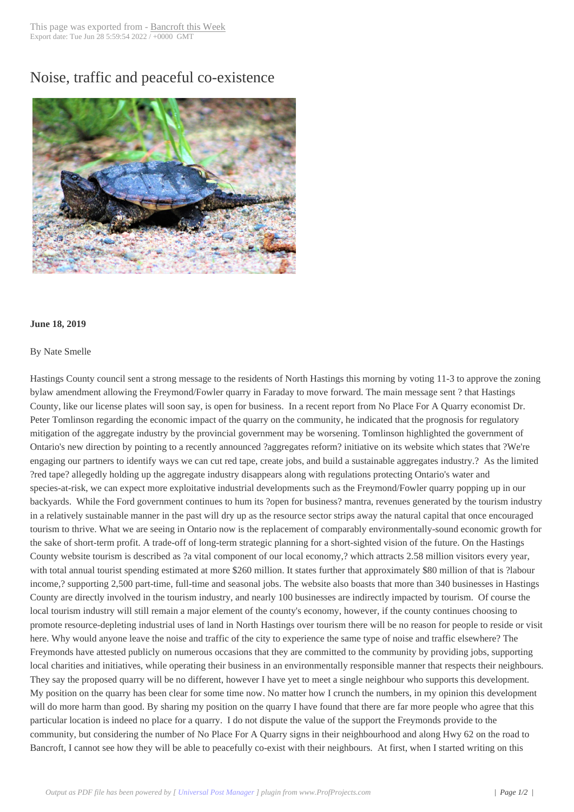## Noise, traffic and p[eaceful co-ex](http://www.bancroftthisweek.com/?p=9820)istence



## **June 18, 2019**

## By Nate Smelle

Hastings County council sent a strong message to the residents of North Hastings this morning by voting 11-3 to approve the zoning bylaw amendment allowing the Freymond/Fowler quarry in Faraday to move forward. The main message sent ? that Hastings County, like our license plates will soon say, is open for business. In a recent report from No Place For A Quarry economist Dr. Peter Tomlinson regarding the economic impact of the quarry on the community, he indicated that the prognosis for regulatory mitigation of the aggregate industry by the provincial government may be worsening. Tomlinson highlighted the government of Ontario's new direction by pointing to a recently announced ?aggregates reform? initiative on its website which states that ?We're engaging our partners to identify ways we can cut red tape, create jobs, and build a sustainable aggregates industry.? As the limited ?red tape? allegedly holding up the aggregate industry disappears along with regulations protecting Ontario's water and species-at-risk, we can expect more exploitative industrial developments such as the Freymond/Fowler quarry popping up in our backyards. While the Ford government continues to hum its ?open for business? mantra, revenues generated by the tourism industry in a relatively sustainable manner in the past will dry up as the resource sector strips away the natural capital that once encouraged tourism to thrive. What we are seeing in Ontario now is the replacement of comparably environmentally-sound economic growth for the sake of short-term profit. A trade-off of long-term strategic planning for a short-sighted vision of the future. On the Hastings County website tourism is described as ?a vital component of our local economy,? which attracts 2.58 million visitors every year, with total annual tourist spending estimated at more \$260 million. It states further that approximately \$80 million of that is ?labour income,? supporting 2,500 part-time, full-time and seasonal jobs. The website also boasts that more than 340 businesses in Hastings County are directly involved in the tourism industry, and nearly 100 businesses are indirectly impacted by tourism. Of course the local tourism industry will still remain a major element of the county's economy, however, if the county continues choosing to promote resource-depleting industrial uses of land in North Hastings over tourism there will be no reason for people to reside or visit here. Why would anyone leave the noise and traffic of the city to experience the same type of noise and traffic elsewhere? The Freymonds have attested publicly on numerous occasions that they are committed to the community by providing jobs, supporting local charities and initiatives, while operating their business in an environmentally responsible manner that respects their neighbours. They say the proposed quarry will be no different, however I have yet to meet a single neighbour who supports this development. My position on the quarry has been clear for some time now. No matter how I crunch the numbers, in my opinion this development will do more harm than good. By sharing my position on the quarry I have found that there are far more people who agree that this particular location is indeed no place for a quarry. I do not dispute the value of the support the Freymonds provide to the community, but considering the number of No Place For A Quarry signs in their neighbourhood and along Hwy 62 on the road to Bancroft, I cannot see how they will be able to peacefully co-exist with their neighbours. At first, when I started writing on this